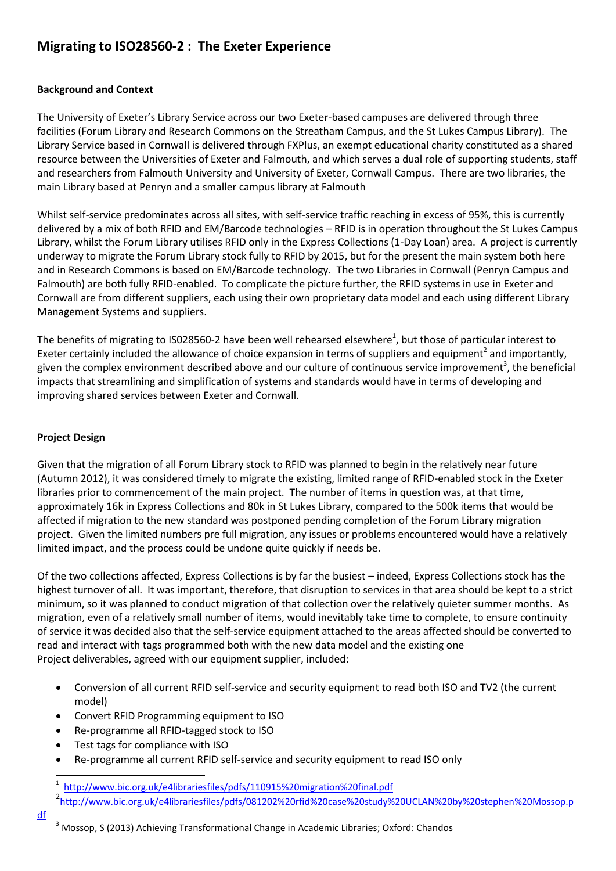# **Migrating to ISO28560-2 : The Exeter Experience**

## **Background and Context**

The University of Exeter's Library Service across our two Exeter-based campuses are delivered through three facilities (Forum Library and Research Commons on the Streatham Campus, and the St Lukes Campus Library). The Library Service based in Cornwall is delivered through FXPlus, an exempt educational charity constituted as a shared resource between the Universities of Exeter and Falmouth, and which serves a dual role of supporting students, staff and researchers from Falmouth University and University of Exeter, Cornwall Campus. There are two libraries, the main Library based at Penryn and a smaller campus library at Falmouth

Whilst self-service predominates across all sites, with self-service traffic reaching in excess of 95%, this is currently delivered by a mix of both RFID and EM/Barcode technologies – RFID is in operation throughout the St Lukes Campus Library, whilst the Forum Library utilises RFID only in the Express Collections (1-Day Loan) area. A project is currently underway to migrate the Forum Library stock fully to RFID by 2015, but for the present the main system both here and in Research Commons is based on EM/Barcode technology. The two Libraries in Cornwall (Penryn Campus and Falmouth) are both fully RFID-enabled. To complicate the picture further, the RFID systems in use in Exeter and Cornwall are from different suppliers, each using their own proprietary data model and each using different Library Management Systems and suppliers.

The benefits of migrating to IS028560-2 have been well rehearsed elsewhere<sup>1</sup>, but those of particular interest to Exeter certainly included the allowance of choice expansion in terms of suppliers and equipment<sup>2</sup> and importantly, given the complex environment described above and our culture of continuous service improvement<sup>3</sup>, the beneficial impacts that streamlining and simplification of systems and standards would have in terms of developing and improving shared services between Exeter and Cornwall.

## **Project Design**

**.** 

[df](http://www.bic.org.uk/e4librariesfiles/pdfs/081202%20rfid%20case%20study%20UCLAN%20by%20stephen%20Mossop.pdf)

Given that the migration of all Forum Library stock to RFID was planned to begin in the relatively near future (Autumn 2012), it was considered timely to migrate the existing, limited range of RFID-enabled stock in the Exeter libraries prior to commencement of the main project. The number of items in question was, at that time, approximately 16k in Express Collections and 80k in St Lukes Library, compared to the 500k items that would be affected if migration to the new standard was postponed pending completion of the Forum Library migration project. Given the limited numbers pre full migration, any issues or problems encountered would have a relatively limited impact, and the process could be undone quite quickly if needs be.

Of the two collections affected, Express Collections is by far the busiest – indeed, Express Collections stock has the highest turnover of all. It was important, therefore, that disruption to services in that area should be kept to a strict minimum, so it was planned to conduct migration of that collection over the relatively quieter summer months. As migration, even of a relatively small number of items, would inevitably take time to complete, to ensure continuity of service it was decided also that the self-service equipment attached to the areas affected should be converted to read and interact with tags programmed both with the new data model and the existing one Project deliverables, agreed with our equipment supplier, included:

- Conversion of all current RFID self-service and security equipment to read both ISO and TV2 (the current model)
- Convert RFID Programming equipment to ISO
- Re-programme all RFID-tagged stock to ISO
- Test tags for compliance with ISO
- Re-programme all current RFID self-service and security equipment to read ISO only

<sup>3</sup> Mossop, S (2013) Achieving Transformational Change in Academic Libraries; Oxford: Chandos

<sup>&</sup>lt;sup>1</sup> <http://www.bic.org.uk/e4librariesfiles/pdfs/110915%20migration%20final.pdf>

<sup>2</sup> [http://www.bic.org.uk/e4librariesfiles/pdfs/081202%20rfid%20case%20study%20UCLAN%20by%20stephen%20Mossop.p](http://www.bic.org.uk/e4librariesfiles/pdfs/081202%20rfid%20case%20study%20UCLAN%20by%20stephen%20Mossop.pdf)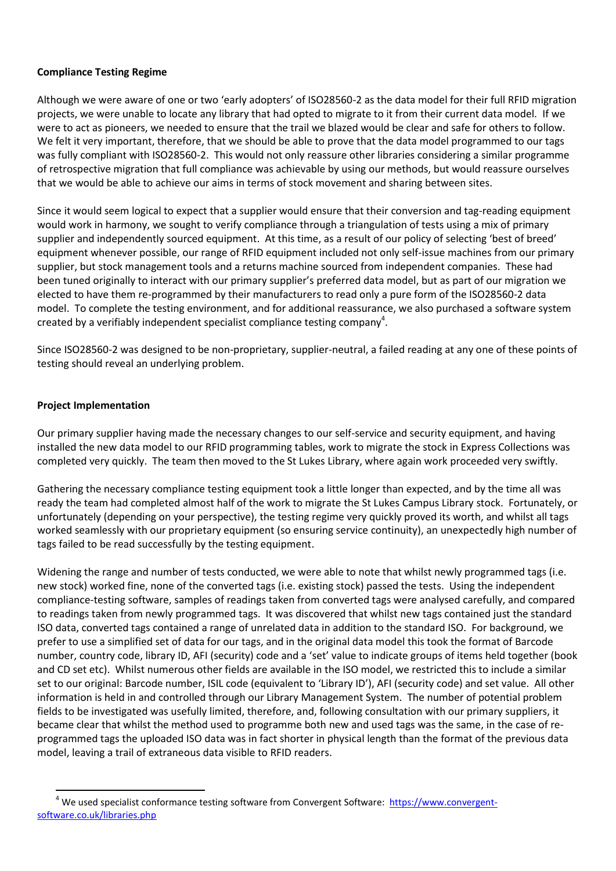#### **Compliance Testing Regime**

Although we were aware of one or two 'early adopters' of ISO28560-2 as the data model for their full RFID migration projects, we were unable to locate any library that had opted to migrate to it from their current data model. If we were to act as pioneers, we needed to ensure that the trail we blazed would be clear and safe for others to follow. We felt it very important, therefore, that we should be able to prove that the data model programmed to our tags was fully compliant with ISO28560-2. This would not only reassure other libraries considering a similar programme of retrospective migration that full compliance was achievable by using our methods, but would reassure ourselves that we would be able to achieve our aims in terms of stock movement and sharing between sites.

Since it would seem logical to expect that a supplier would ensure that their conversion and tag-reading equipment would work in harmony, we sought to verify compliance through a triangulation of tests using a mix of primary supplier and independently sourced equipment. At this time, as a result of our policy of selecting 'best of breed' equipment whenever possible, our range of RFID equipment included not only self-issue machines from our primary supplier, but stock management tools and a returns machine sourced from independent companies. These had been tuned originally to interact with our primary supplier's preferred data model, but as part of our migration we elected to have them re-programmed by their manufacturers to read only a pure form of the ISO28560-2 data model. To complete the testing environment, and for additional reassurance, we also purchased a software system created by a verifiably independent specialist compliance testing company<sup>4</sup>.

Since ISO28560-2 was designed to be non-proprietary, supplier-neutral, a failed reading at any one of these points of testing should reveal an underlying problem.

#### **Project Implementation**

**.** 

Our primary supplier having made the necessary changes to our self-service and security equipment, and having installed the new data model to our RFID programming tables, work to migrate the stock in Express Collections was completed very quickly. The team then moved to the St Lukes Library, where again work proceeded very swiftly.

Gathering the necessary compliance testing equipment took a little longer than expected, and by the time all was ready the team had completed almost half of the work to migrate the St Lukes Campus Library stock. Fortunately, or unfortunately (depending on your perspective), the testing regime very quickly proved its worth, and whilst all tags worked seamlessly with our proprietary equipment (so ensuring service continuity), an unexpectedly high number of tags failed to be read successfully by the testing equipment.

Widening the range and number of tests conducted, we were able to note that whilst newly programmed tags (i.e. new stock) worked fine, none of the converted tags (i.e. existing stock) passed the tests. Using the independent compliance-testing software, samples of readings taken from converted tags were analysed carefully, and compared to readings taken from newly programmed tags. It was discovered that whilst new tags contained just the standard ISO data, converted tags contained a range of unrelated data in addition to the standard ISO. For background, we prefer to use a simplified set of data for our tags, and in the original data model this took the format of Barcode number, country code, library ID, AFI (security) code and a 'set' value to indicate groups of items held together (book and CD set etc). Whilst numerous other fields are available in the ISO model, we restricted this to include a similar set to our original: Barcode number, ISIL code (equivalent to 'Library ID'), AFI (security code) and set value. All other information is held in and controlled through our Library Management System. The number of potential problem fields to be investigated was usefully limited, therefore, and, following consultation with our primary suppliers, it became clear that whilst the method used to programme both new and used tags was the same, in the case of reprogrammed tags the uploaded ISO data was in fact shorter in physical length than the format of the previous data model, leaving a trail of extraneous data visible to RFID readers.

<sup>&</sup>lt;sup>4</sup> We used specialist conformance testing software from Convergent Software: [https://www.convergent](https://www.convergent-software.co.uk/libraries.php)[software.co.uk/libraries.php](https://www.convergent-software.co.uk/libraries.php)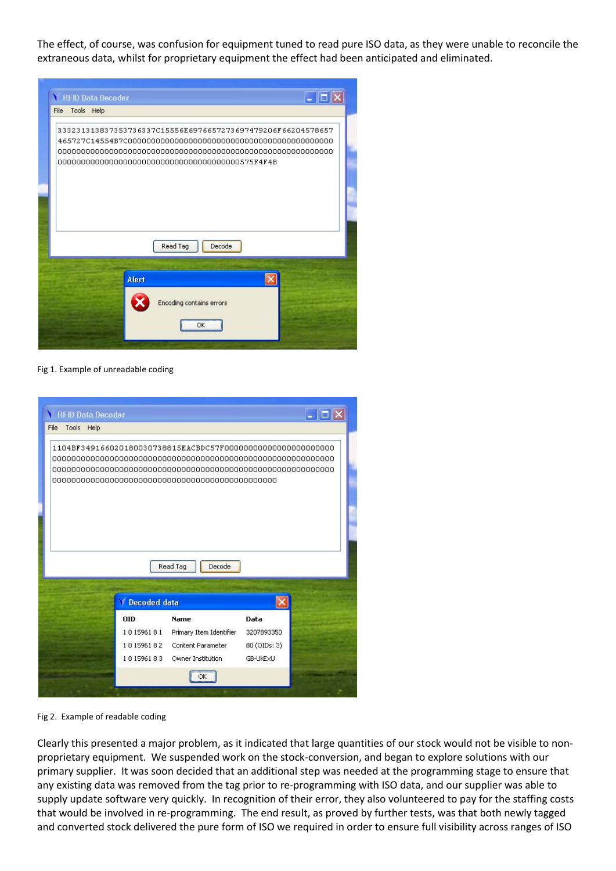The effect, of course, was confusion for equipment tuned to read pure ISO data, as they were unable to reconcile the extraneous data, whilst for proprietary equipment the effect had been anticipated and eliminated.



Fig 1. Example of unreadable coding



Fig 2. Example of readable coding

Clearly this presented a major problem, as it indicated that large quantities of our stock would not be visible to nonproprietary equipment. We suspended work on the stock-conversion, and began to explore solutions with our primary supplier. It was soon decided that an additional step was needed at the programming stage to ensure that any existing data was removed from the tag prior to re-programming with ISO data, and our supplier was able to supply update software very quickly. In recognition of their error, they also volunteered to pay for the staffing costs that would be involved in re-programming. The end result, as proved by further tests, was that both newly tagged and converted stock delivered the pure form of ISO we required in order to ensure full visibility across ranges of ISO